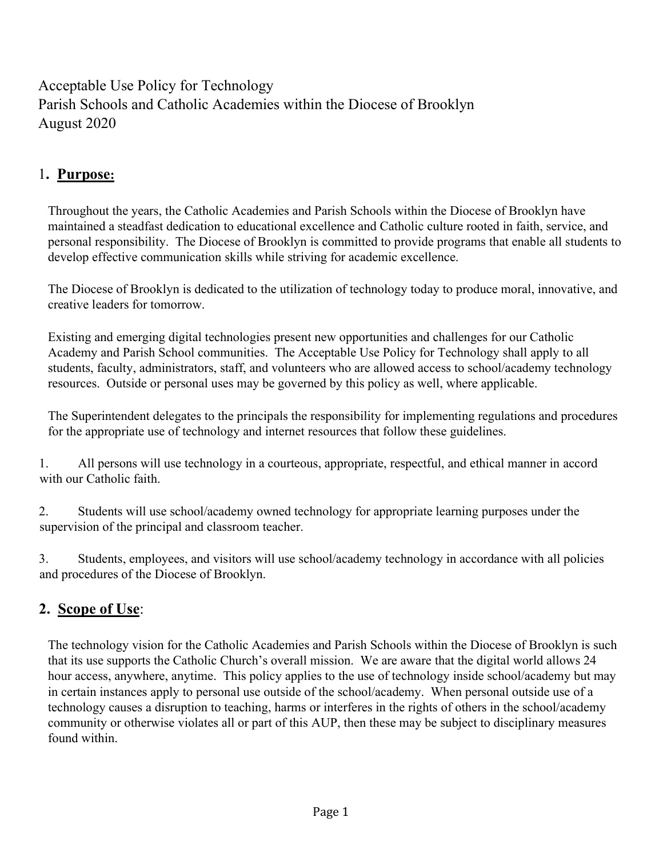Acceptable Use Policy for Technology Parish Schools and Catholic Academies within the Diocese of Brooklyn August 2020

## 1. Purpose:

 Throughout the years, the Catholic Academies and Parish Schools within the Diocese of Brooklyn have maintained a steadfast dedication to educational excellence and Catholic culture rooted in faith, service, and personal responsibility. The Diocese of Brooklyn is committed to provide programs that enable all students to develop effective communication skills while striving for academic excellence.

 The Diocese of Brooklyn is dedicated to the utilization of technology today to produce moral, innovative, and creative leaders for tomorrow.

 Existing and emerging digital technologies present new opportunities and challenges for our Catholic Academy and Parish School communities. The Acceptable Use Policy for Technology shall apply to all students, faculty, administrators, staff, and volunteers who are allowed access to school/academy technology resources. Outside or personal uses may be governed by this policy as well, where applicable.

 The Superintendent delegates to the principals the responsibility for implementing regulations and procedures for the appropriate use of technology and internet resources that follow these guidelines.

1. All persons will use technology in a courteous, appropriate, respectful, and ethical manner in accord with our Catholic faith.

2. Students will use school/academy owned technology for appropriate learning purposes under the supervision of the principal and classroom teacher.

3. Students, employees, and visitors will use school/academy technology in accordance with all policies and procedures of the Diocese of Brooklyn.

# 2. Scope of Use:

 The technology vision for the Catholic Academies and Parish Schools within the Diocese of Brooklyn is such that its use supports the Catholic Church's overall mission. We are aware that the digital world allows 24 hour access, anywhere, anytime. This policy applies to the use of technology inside school/academy but may in certain instances apply to personal use outside of the school/academy. When personal outside use of a technology causes a disruption to teaching, harms or interferes in the rights of others in the school/academy community or otherwise violates all or part of this AUP, then these may be subject to disciplinary measures found within.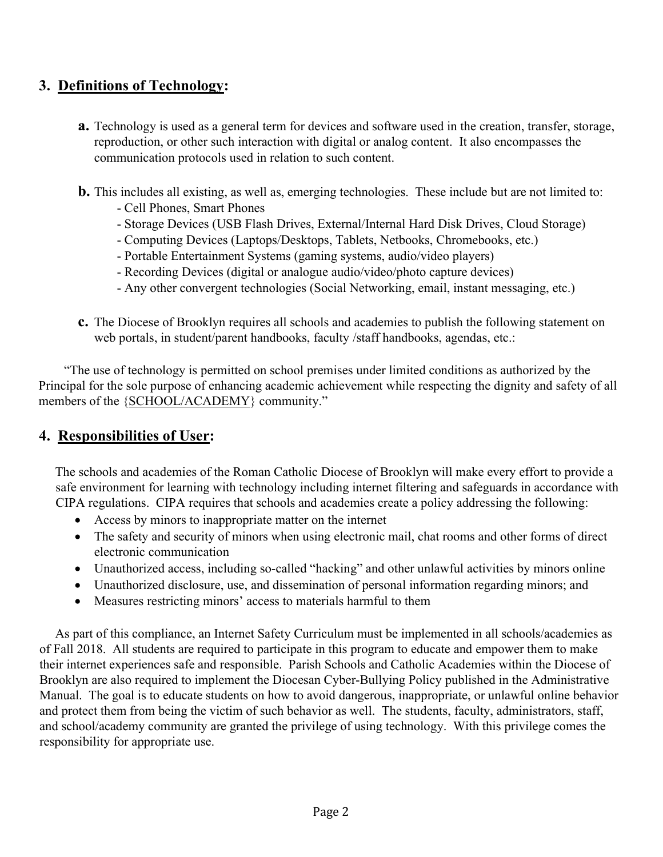### 3. Definitions of Technology:

- a. Technology is used as a general term for devices and software used in the creation, transfer, storage, reproduction, or other such interaction with digital or analog content. It also encompasses the communication protocols used in relation to such content.
- b. This includes all existing, as well as, emerging technologies. These include but are not limited to:
	- Cell Phones, Smart Phones
	- Storage Devices (USB Flash Drives, External/Internal Hard Disk Drives, Cloud Storage)
	- Computing Devices (Laptops/Desktops, Tablets, Netbooks, Chromebooks, etc.)
	- Portable Entertainment Systems (gaming systems, audio/video players)
	- Recording Devices (digital or analogue audio/video/photo capture devices)
	- Any other convergent technologies (Social Networking, email, instant messaging, etc.)
- c. The Diocese of Brooklyn requires all schools and academies to publish the following statement on web portals, in student/parent handbooks, faculty /staff handbooks, agendas, etc.:

 "The use of technology is permitted on school premises under limited conditions as authorized by the Principal for the sole purpose of enhancing academic achievement while respecting the dignity and safety of all members of the {SCHOOL/ACADEMY} community."

## 4. Responsibilities of User:

The schools and academies of the Roman Catholic Diocese of Brooklyn will make every effort to provide a safe environment for learning with technology including internet filtering and safeguards in accordance with CIPA regulations. CIPA requires that schools and academies create a policy addressing the following:

- Access by minors to inappropriate matter on the internet
- The safety and security of minors when using electronic mail, chat rooms and other forms of direct electronic communication
- Unauthorized access, including so-called "hacking" and other unlawful activities by minors online
- Unauthorized disclosure, use, and dissemination of personal information regarding minors; and
- Measures restricting minors' access to materials harmful to them

As part of this compliance, an Internet Safety Curriculum must be implemented in all schools/academies as of Fall 2018. All students are required to participate in this program to educate and empower them to make their internet experiences safe and responsible. Parish Schools and Catholic Academies within the Diocese of Brooklyn are also required to implement the Diocesan Cyber-Bullying Policy published in the Administrative Manual. The goal is to educate students on how to avoid dangerous, inappropriate, or unlawful online behavior and protect them from being the victim of such behavior as well. The students, faculty, administrators, staff, and school/academy community are granted the privilege of using technology. With this privilege comes the responsibility for appropriate use.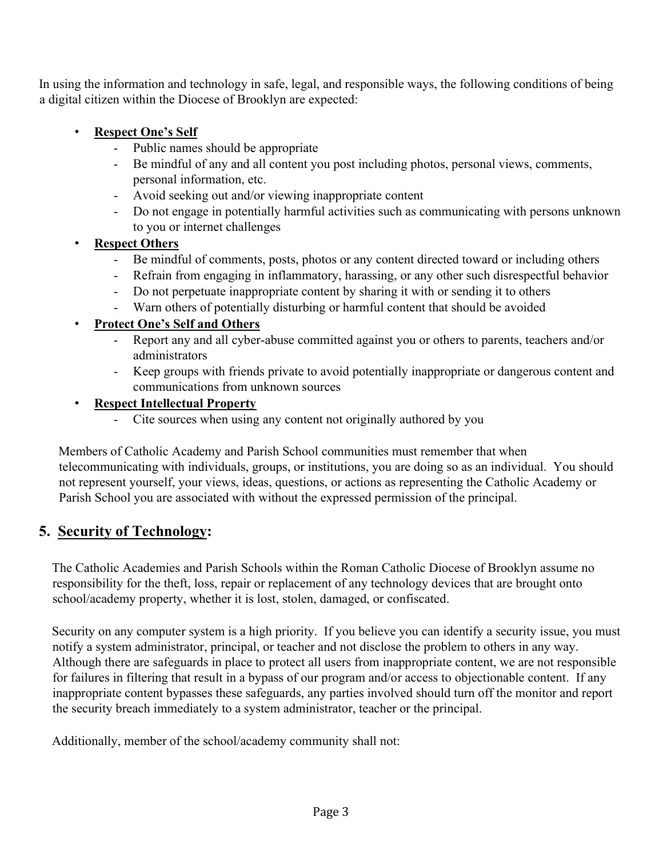In using the information and technology in safe, legal, and responsible ways, the following conditions of being a digital citizen within the Diocese of Brooklyn are expected:

- Respect One's Self
	- Public names should be appropriate
	- Be mindful of any and all content you post including photos, personal views, comments, personal information, etc.
	- Avoid seeking out and/or viewing inappropriate content
	- Do not engage in potentially harmful activities such as communicating with persons unknown to you or internet challenges

### **Respect Others**

- Be mindful of comments, posts, photos or any content directed toward or including others
- Refrain from engaging in inflammatory, harassing, or any other such disrespectful behavior
- Do not perpetuate inappropriate content by sharing it with or sending it to others
- Warn others of potentially disturbing or harmful content that should be avoided

### • Protect One's Self and Others

- Report any and all cyber-abuse committed against you or others to parents, teachers and/or administrators
- Keep groups with friends private to avoid potentially inappropriate or dangerous content and communications from unknown sources

### • Respect Intellectual Property

- Cite sources when using any content not originally authored by you

Members of Catholic Academy and Parish School communities must remember that when telecommunicating with individuals, groups, or institutions, you are doing so as an individual. You should not represent yourself, your views, ideas, questions, or actions as representing the Catholic Academy or Parish School you are associated with without the expressed permission of the principal.

# 5. Security of Technology:

The Catholic Academies and Parish Schools within the Roman Catholic Diocese of Brooklyn assume no responsibility for the theft, loss, repair or replacement of any technology devices that are brought onto school/academy property, whether it is lost, stolen, damaged, or confiscated.

Security on any computer system is a high priority. If you believe you can identify a security issue, you must notify a system administrator, principal, or teacher and not disclose the problem to others in any way. Although there are safeguards in place to protect all users from inappropriate content, we are not responsible for failures in filtering that result in a bypass of our program and/or access to objectionable content. If any inappropriate content bypasses these safeguards, any parties involved should turn off the monitor and report the security breach immediately to a system administrator, teacher or the principal.

Additionally, member of the school/academy community shall not: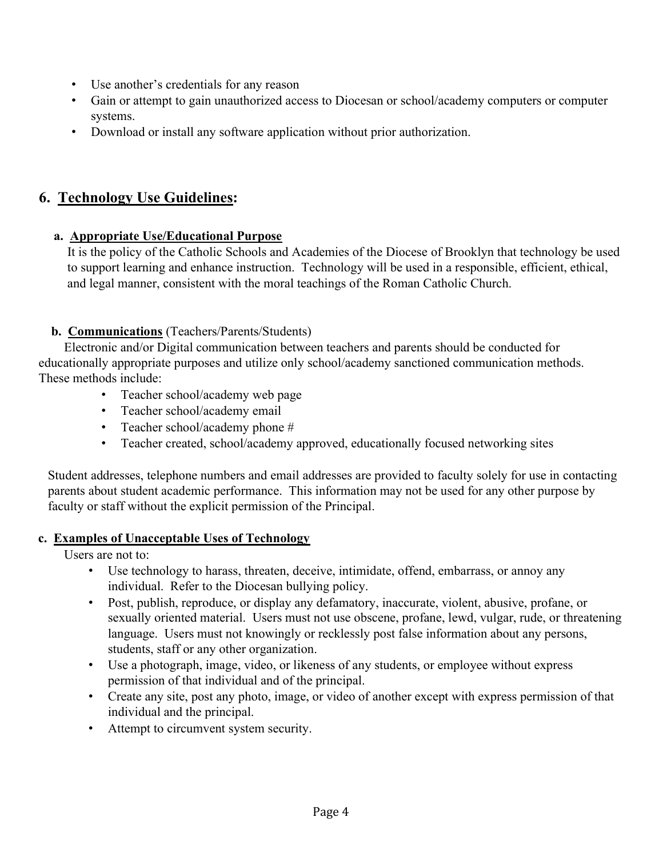- Use another's credentials for any reason
- Gain or attempt to gain unauthorized access to Diocesan or school/academy computers or computer systems.
- Download or install any software application without prior authorization.

## 6. Technology Use Guidelines:

### a. Appropriate Use/Educational Purpose

 It is the policy of the Catholic Schools and Academies of the Diocese of Brooklyn that technology be used to support learning and enhance instruction. Technology will be used in a responsible, efficient, ethical, and legal manner, consistent with the moral teachings of the Roman Catholic Church.

### b. Communications (Teachers/Parents/Students)

 Electronic and/or Digital communication between teachers and parents should be conducted for educationally appropriate purposes and utilize only school/academy sanctioned communication methods. These methods include:

- Teacher school/academy web page
- Teacher school/academy email
- Teacher school/academy phone #
- Teacher created, school/academy approved, educationally focused networking sites

 Student addresses, telephone numbers and email addresses are provided to faculty solely for use in contacting parents about student academic performance. This information may not be used for any other purpose by faculty or staff without the explicit permission of the Principal.

#### c. Examples of Unacceptable Uses of Technology

Users are not to:

- Use technology to harass, threaten, deceive, intimidate, offend, embarrass, or annoy any individual. Refer to the Diocesan bullying policy.
- Post, publish, reproduce, or display any defamatory, inaccurate, violent, abusive, profane, or sexually oriented material. Users must not use obscene, profane, lewd, vulgar, rude, or threatening language. Users must not knowingly or recklessly post false information about any persons, students, staff or any other organization.
- Use a photograph, image, video, or likeness of any students, or employee without express permission of that individual and of the principal.
- Create any site, post any photo, image, or video of another except with express permission of that individual and the principal.
- Attempt to circumvent system security.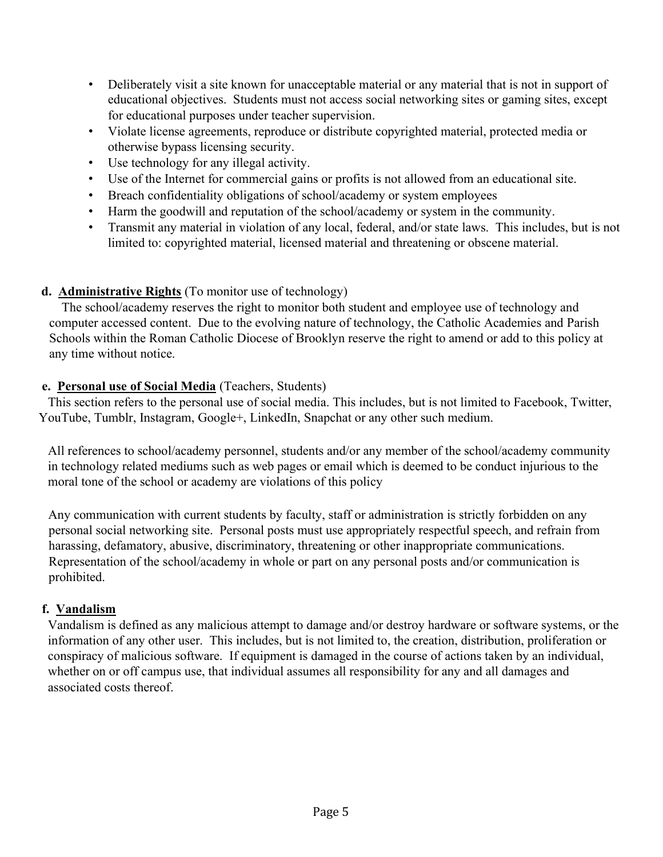- Deliberately visit a site known for unacceptable material or any material that is not in support of educational objectives. Students must not access social networking sites or gaming sites, except for educational purposes under teacher supervision.
- Violate license agreements, reproduce or distribute copyrighted material, protected media or otherwise bypass licensing security.
- Use technology for any illegal activity.
- Use of the Internet for commercial gains or profits is not allowed from an educational site.
- Breach confidentiality obligations of school/academy or system employees
- Harm the goodwill and reputation of the school/academy or system in the community.
- Transmit any material in violation of any local, federal, and/or state laws. This includes, but is not limited to: copyrighted material, licensed material and threatening or obscene material.

### d. Administrative Rights (To monitor use of technology)

 The school/academy reserves the right to monitor both student and employee use of technology and computer accessed content. Due to the evolving nature of technology, the Catholic Academies and Parish Schools within the Roman Catholic Diocese of Brooklyn reserve the right to amend or add to this policy at any time without notice.

### e. Personal use of Social Media (Teachers, Students)

 This section refers to the personal use of social media. This includes, but is not limited to Facebook, Twitter, YouTube, Tumblr, Instagram, Google+, LinkedIn, Snapchat or any other such medium.

 All references to school/academy personnel, students and/or any member of the school/academy community in technology related mediums such as web pages or email which is deemed to be conduct injurious to the moral tone of the school or academy are violations of this policy

Any communication with current students by faculty, staff or administration is strictly forbidden on any personal social networking site. Personal posts must use appropriately respectful speech, and refrain from harassing, defamatory, abusive, discriminatory, threatening or other inappropriate communications. Representation of the school/academy in whole or part on any personal posts and/or communication is prohibited.

### f. Vandalism

 Vandalism is defined as any malicious attempt to damage and/or destroy hardware or software systems, or the information of any other user. This includes, but is not limited to, the creation, distribution, proliferation or conspiracy of malicious software. If equipment is damaged in the course of actions taken by an individual, whether on or off campus use, that individual assumes all responsibility for any and all damages and associated costs thereof.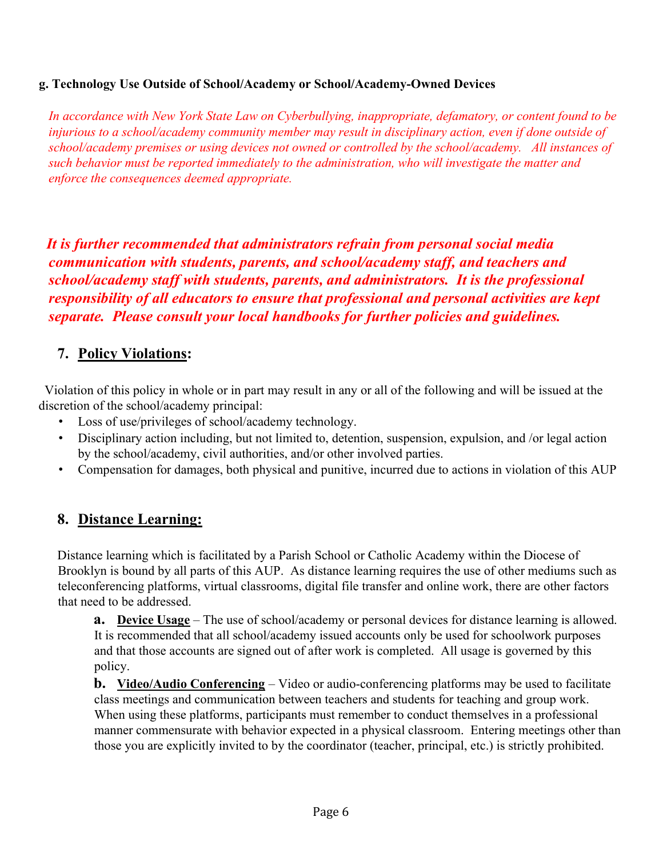#### g. Technology Use Outside of School/Academy or School/Academy-Owned Devices

 In accordance with New York State Law on Cyberbullying, inappropriate, defamatory, or content found to be injurious to a school/academy community member may result in disciplinary action, even if done outside of school/academy premises or using devices not owned or controlled by the school/academy. All instances of such behavior must be reported immediately to the administration, who will investigate the matter and enforce the consequences deemed appropriate.

 It is further recommended that administrators refrain from personal social media communication with students, parents, and school/academy staff, and teachers and school/academy staff with students, parents, and administrators. It is the professional responsibility of all educators to ensure that professional and personal activities are kept separate. Please consult your local handbooks for further policies and guidelines.

### 7. Policy Violations:

 Violation of this policy in whole or in part may result in any or all of the following and will be issued at the discretion of the school/academy principal:

- Loss of use/privileges of school/academy technology.
- Disciplinary action including, but not limited to, detention, suspension, expulsion, and /or legal action by the school/academy, civil authorities, and/or other involved parties.
- Compensation for damages, both physical and punitive, incurred due to actions in violation of this AUP

## 8. Distance Learning:

Distance learning which is facilitated by a Parish School or Catholic Academy within the Diocese of Brooklyn is bound by all parts of this AUP. As distance learning requires the use of other mediums such as teleconferencing platforms, virtual classrooms, digital file transfer and online work, there are other factors that need to be addressed.

a. Device Usage – The use of school/academy or personal devices for distance learning is allowed. It is recommended that all school/academy issued accounts only be used for schoolwork purposes and that those accounts are signed out of after work is completed. All usage is governed by this policy.

**b.** Video/Audio Conferencing – Video or audio-conferencing platforms may be used to facilitate class meetings and communication between teachers and students for teaching and group work. When using these platforms, participants must remember to conduct themselves in a professional manner commensurate with behavior expected in a physical classroom. Entering meetings other than those you are explicitly invited to by the coordinator (teacher, principal, etc.) is strictly prohibited.